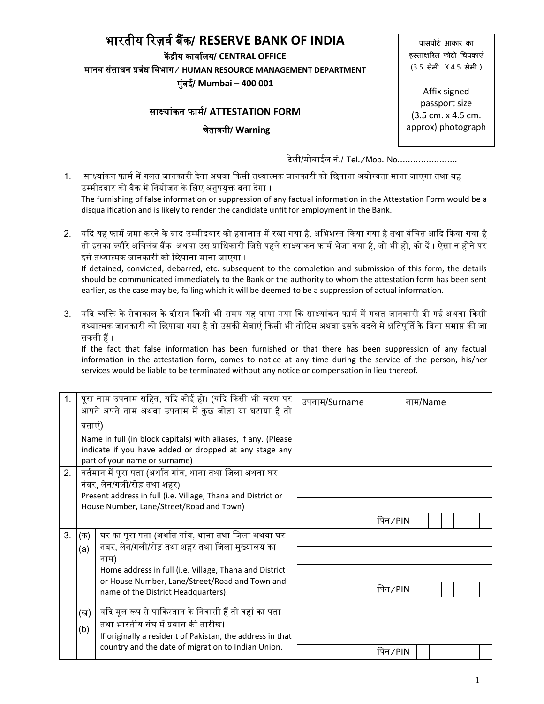# भारतीय ररज़र्व बैंक/ **RESERVE BANK OF INDIA**

कें द्रीय कायावलय/ **CENTRAL OFFICE** मानर् संसाधन प्रबंध वर्भाग**/ HUMAN RESOURCE MANAGEMENT DEPARTMENT** म ंबई/ **Mumbai – 400 001**

### साक्षयांकन फामव/ **ATTESTATION FORM**

चेतार्नी/ **Warning**

पासपोर्ट आकार का हस्ताक्षरित फोटो चिपकाएं (3.5 सेमी. X 4.5 सेमी.)

Affix signed passport size (3.5 cm. x 4.5 cm. approx) photograph

टेली/मोबाईल नं./ Tel./Mob. No…………………..

1. साक्ष्यांकन फार्म में गलत जानकारी देना अथवा किसी तथ्यात्मक जानकारी को छिपाना अयोग्यता माना जाएगा तथा यह उम्मीदवार को बैंक में नियोजन के लिए अनपयक्त बना देगा । The furnishing of false information or suppression of any factual information in the Attestation Form would be a disqualification and is likely to render the candidate unfit for employment in the Bank.

2. यदि यह फार्म जमा करने के बाद उम्मीदवार को हवालात में रखा गया है, अभिशस्त किया गया है तथा वंचित आदि किया गया है तो इसका ब्यौरे अविलंब बैंक अथवा उस प्राधिकारी जिसे पहले साक्ष्यांकन फार्म भेजा गया है, जो भी हो, को दें । ऐसा न होने पर इसे तथ्यात्मक जानकारी को विपाना माना जाएगा । If detained, convicted, debarred, etc. subsequent to the completion and submission of this form, the details should be communicated immediately to the Bank or the authority to whom the attestation form has been sent

earlier, as the case may be, failing which it will be deemed to be a suppression of actual information.

3. यदि व्यक्ति के सेवाकाल के दौरान किसी भी समय यह पाया गया कि साक्ष्यांकन फार्म में गलत जानकारी दी गई अथवा किसी तथ्यात्मक जानकारी को छिपाया गया है तो उसकी सेवाएं किसी भी नोटिस अथवा इसके बदले में क्षतिपूर्ति के बिना समाप्त की जा सकती हैं ।

If the fact that false information has been furnished or that there has been suppression of any factual information in the attestation form, comes to notice at any time during the service of the person, his/her services would be liable to be terminated without any notice or compensation in lieu thereof.

| 1. |        | पूरा नाम उपनाम सहित, यदि कोई हो। (यदि किसी भी चरण पर           | उपनाम/Surname | नाम/Name         |
|----|--------|----------------------------------------------------------------|---------------|------------------|
|    |        | .<br>आपने अपने नाम अथवा उपनाम में कुछ जोड़ा या घटाया है तो     |               |                  |
|    | बताएं) |                                                                |               |                  |
|    |        | Name in full (in block capitals) with aliases, if any. (Please |               |                  |
|    |        | indicate if you have added or dropped at any stage any         |               |                  |
|    |        | part of your name or surname)                                  |               |                  |
| 2. |        | वर्तमान में पूरा पता (अर्थात गांव, थाना तथा जिला अथवा घर       |               |                  |
|    |        | नंबर, लेन/गली/रोड़ तथा शहर)                                    |               |                  |
|    |        | Present address in full (i.e. Village, Thana and District or   |               |                  |
|    |        | House Number, Lane/Street/Road and Town)                       |               |                  |
|    |        |                                                                |               | पिन $\angle$ PIN |
| 3. | (क)    | घर का पूरा पता (अर्थात गांव, थाना तथा जिला अथवा घर             |               |                  |
|    | (a)    | नंबर, लेन/गली/रोड़ तथा शहर तथा जिला मुख्यालय का                |               |                  |
|    |        | नाम)                                                           |               |                  |
|    |        | Home address in full (i.e. Village, Thana and District         |               |                  |
|    |        | or House Number, Lane/Street/Road and Town and                 |               |                  |
|    |        | name of the District Headquarters).                            |               | पिन $\angle$ PIN |
|    |        |                                                                |               |                  |
|    | (ख)    | यदि मूल रूप से पाकिस्तान के निवासी हैं तो वहां का पता          |               |                  |
|    | (b)    | तथा भारतीय संघ में प्रवास की तारीख।                            |               |                  |
|    |        | If originally a resident of Pakistan, the address in that      |               |                  |
|    |        | country and the date of migration to Indian Union.             |               | पिन $/$ PIN      |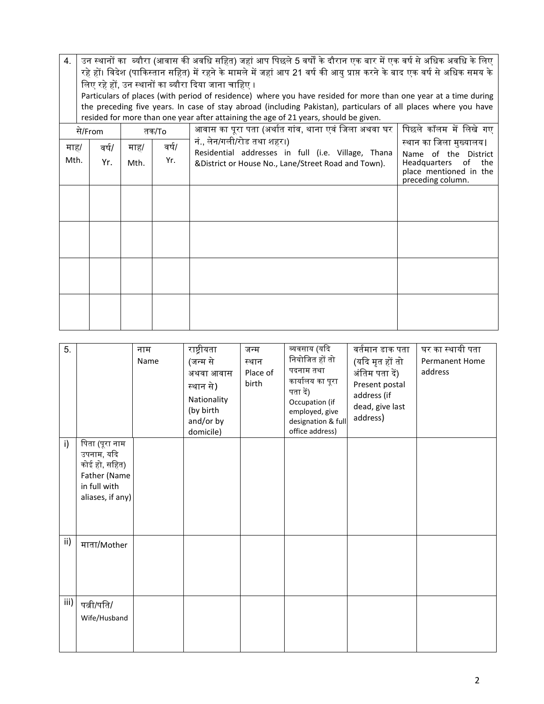| 4.   | उन स्थानों का  ब्यौरा (आवास की अवधि सहित) जहां आप पिछले 5 वर्षों के दौरान एक बार में एक वर्ष से अधिक अवधि के लिए<br>रहे हों। विदेश (पाकिस्तान सहित) में रहने के मामले में जहां आप 21 वर्ष की आयु प्राप्त करने के बाद एक वर्ष से अधिक समय के<br>लिए रहे हों, उन स्थानों का ब्यौरा दिया जाना चाहिए ।<br>Particulars of places (with period of residence) where you have resided for more than one year at a time during<br>the preceding five years. In case of stay abroad (including Pakistan), particulars of all places where you have<br>resided for more than one year after attaining the age of 21 years, should be given. |      |       |                                                                                                           |                                                                                                         |  |  |  |  |  |
|------|----------------------------------------------------------------------------------------------------------------------------------------------------------------------------------------------------------------------------------------------------------------------------------------------------------------------------------------------------------------------------------------------------------------------------------------------------------------------------------------------------------------------------------------------------------------------------------------------------------------------------------|------|-------|-----------------------------------------------------------------------------------------------------------|---------------------------------------------------------------------------------------------------------|--|--|--|--|--|
|      | से/From                                                                                                                                                                                                                                                                                                                                                                                                                                                                                                                                                                                                                          |      | तक/To | आवास का पूरा पता (अर्थात गांव, थाना एवं जिला अथवा घर                                                      | पिछले कॉलम में लिखे गए                                                                                  |  |  |  |  |  |
| माह/ | वर्ष/                                                                                                                                                                                                                                                                                                                                                                                                                                                                                                                                                                                                                            | माह/ | वर्ष/ | नं., लेन/गली/रोड तथा शहर।)                                                                                | स्थान का जिला मुख्यालय।                                                                                 |  |  |  |  |  |
| Mth. | Yr.                                                                                                                                                                                                                                                                                                                                                                                                                                                                                                                                                                                                                              | Mth. | Yr.   | Residential addresses in full (i.e. Village, Thana<br>&District or House No., Lane/Street Road and Town). | Name of the District<br><b>Headquarters</b><br>the<br>0f<br>place mentioned in the<br>preceding column. |  |  |  |  |  |
|      |                                                                                                                                                                                                                                                                                                                                                                                                                                                                                                                                                                                                                                  |      |       |                                                                                                           |                                                                                                         |  |  |  |  |  |
|      |                                                                                                                                                                                                                                                                                                                                                                                                                                                                                                                                                                                                                                  |      |       |                                                                                                           |                                                                                                         |  |  |  |  |  |
|      |                                                                                                                                                                                                                                                                                                                                                                                                                                                                                                                                                                                                                                  |      |       |                                                                                                           |                                                                                                         |  |  |  |  |  |
|      |                                                                                                                                                                                                                                                                                                                                                                                                                                                                                                                                                                                                                                  |      |       |                                                                                                           |                                                                                                         |  |  |  |  |  |

| 5.   |                                                                                                   | नाम<br>Name | राष्ट्रीयता<br>(जन्म से<br>अथवा आवास<br>स्थान से)<br>Nationality<br>(by birth<br>and/or by<br>domicile) | जन्म<br>स्थान<br>Place of<br>birth | व्यवसाय (यदि<br>नियोजित हों तो<br>पदनाम तथा<br>कार्यालय का पूरा<br>पता दें)<br>Occupation (if<br>employed, give<br>designation & full<br>office address) | वर्तमान डाक पता<br>(यदि मृत हों तो<br>अंतिम पता दें)<br>Present postal<br>address (if<br>dead, give last<br>address) | घर का स्थायी पता<br><b>Permanent Home</b><br>address |
|------|---------------------------------------------------------------------------------------------------|-------------|---------------------------------------------------------------------------------------------------------|------------------------------------|----------------------------------------------------------------------------------------------------------------------------------------------------------|----------------------------------------------------------------------------------------------------------------------|------------------------------------------------------|
| i)   | पिता (पूरा नाम<br>उपनाम, यदि<br>कोई हो, सहित)<br>Father (Name<br>in full with<br>aliases, if any) |             |                                                                                                         |                                    |                                                                                                                                                          |                                                                                                                      |                                                      |
| ii)  | माता/Mother                                                                                       |             |                                                                                                         |                                    |                                                                                                                                                          |                                                                                                                      |                                                      |
| iii) | पत्नी/पति/<br>Wife/Husband                                                                        |             |                                                                                                         |                                    |                                                                                                                                                          |                                                                                                                      |                                                      |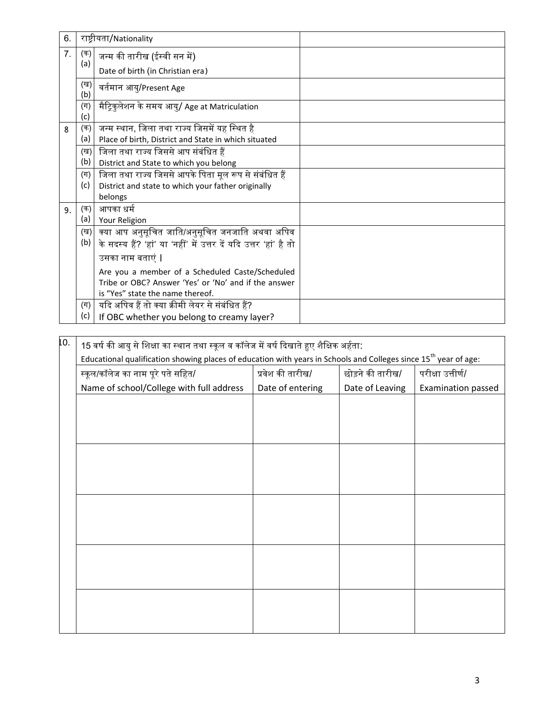| 6. |                | राष्ट्रीयता/Nationality                                           |  |
|----|----------------|-------------------------------------------------------------------|--|
| 7. | (क)<br>(a)     | जन्म की तारीख (ईस्वी सन में)                                      |  |
|    |                | Date of birth (in Christian era)                                  |  |
|    | (ख)<br>(b)     | वर्तमान आयु/Present Age                                           |  |
|    | $(\Pi)$<br>(c) | मैट्रिकुलेशन के समय आयु/ Age at Matriculation                     |  |
| 8  | (क)            | जन्म स्थान, जिला तथा राज्य जिसमें यह स्थित है                     |  |
|    | (a)            | Place of birth, District and State in which situated              |  |
|    | (ख)            | जिला तथा राज्य जिससे आप संबंधित हैं                               |  |
|    | (b)            | District and State to which you belong                            |  |
|    | $(\Pi)$        | जिला तथा राज्य जिससे आपके पिता मूल रूप से संबंधित हैं             |  |
|    | (c)            | District and state to which your father originally                |  |
|    |                | belongs                                                           |  |
| 9. | (क)            | आपका धर्म                                                         |  |
|    | (a)            | Your Religion                                                     |  |
|    | (ख)            | क्या आप अनुसूचित जाति/अनुसूचित जनजाति अथवा अपिव                   |  |
|    | (b)            | के सदस्य हैं? 'हां' या 'नहीं' में उत्तर दें यदि उत्तर 'हां' है तो |  |
|    |                | उसका नाम बताएं                                                    |  |
|    |                | Are you a member of a Scheduled Caste/Scheduled                   |  |
|    |                | Tribe or OBC? Answer 'Yes' or 'No' and if the answer              |  |
|    |                | is "Yes" state the name thereof.                                  |  |
|    | (ग)            | यदि अपिव हैं तो क्या क्रीमी लेयर से संबंधित हैं?                  |  |
|    | (c)            | If OBC whether you belong to creamy layer?                        |  |

| 10. | 15 वर्ष की आयु से शिक्षा का स्थान तथा स्कूल व कॉलेज में वर्ष दिखाते हुए शैक्षिक अर्हता:                                      |                  |                  |                    |  |  |  |  |  |
|-----|------------------------------------------------------------------------------------------------------------------------------|------------------|------------------|--------------------|--|--|--|--|--|
|     | Educational qualification showing places of education with years in Schools and Colleges since 15 <sup>th</sup> year of age: |                  |                  |                    |  |  |  |  |  |
|     | स्कूल/कॉलेज का नाम पूरे पते सहित/                                                                                            | प्रवेश की तारीख/ | छोड़ने की तारीख/ | परीक्षा उत्तीर्ण/  |  |  |  |  |  |
|     | Name of school/College with full address                                                                                     | Date of entering | Date of Leaving  | Examination passed |  |  |  |  |  |
|     |                                                                                                                              |                  |                  |                    |  |  |  |  |  |
|     |                                                                                                                              |                  |                  |                    |  |  |  |  |  |
|     |                                                                                                                              |                  |                  |                    |  |  |  |  |  |
|     |                                                                                                                              |                  |                  |                    |  |  |  |  |  |
|     |                                                                                                                              |                  |                  |                    |  |  |  |  |  |
|     |                                                                                                                              |                  |                  |                    |  |  |  |  |  |
|     |                                                                                                                              |                  |                  |                    |  |  |  |  |  |
|     |                                                                                                                              |                  |                  |                    |  |  |  |  |  |
|     |                                                                                                                              |                  |                  |                    |  |  |  |  |  |
|     |                                                                                                                              |                  |                  |                    |  |  |  |  |  |
|     |                                                                                                                              |                  |                  |                    |  |  |  |  |  |
|     |                                                                                                                              |                  |                  |                    |  |  |  |  |  |
|     |                                                                                                                              |                  |                  |                    |  |  |  |  |  |
|     |                                                                                                                              |                  |                  |                    |  |  |  |  |  |
|     |                                                                                                                              |                  |                  |                    |  |  |  |  |  |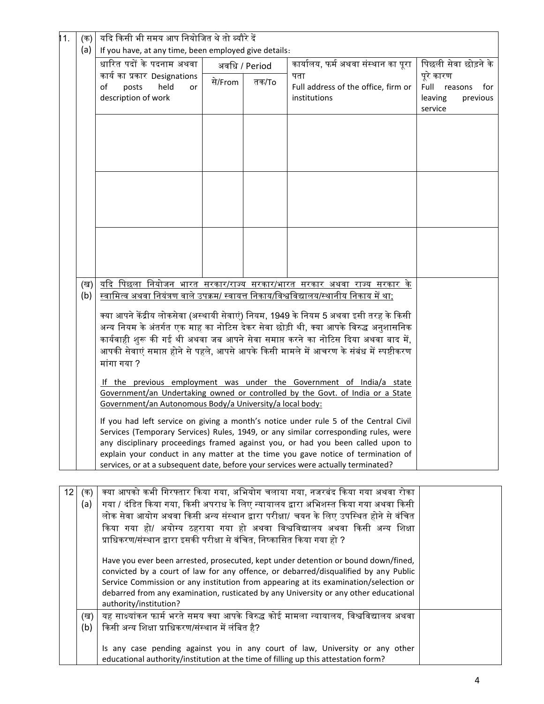| 11.             | (क)        | यदि किसी भी समय आप नियोजित थे तो ब्यौरे दें                                                                                                                                 |         |               |                                                                                                                                                                             |                                  |  |  |
|-----------------|------------|-----------------------------------------------------------------------------------------------------------------------------------------------------------------------------|---------|---------------|-----------------------------------------------------------------------------------------------------------------------------------------------------------------------------|----------------------------------|--|--|
|                 | (a)        | If you have, at any time, been employed give details:                                                                                                                       |         |               |                                                                                                                                                                             |                                  |  |  |
|                 |            | धारित पदों के पदनाम अथवा                                                                                                                                                    |         | अवधि / Period | कार्यालय, फर्म अथवा संस्थान का पूरा                                                                                                                                         | पिछली सेवा छोड़ने के             |  |  |
|                 |            | कार्य का प्रकार Designations<br>posts<br>held<br>οf<br>or                                                                                                                   | से/From | तक/To         | पता<br>Full address of the office, firm or                                                                                                                                  | पूरे कारण<br>Full reasons<br>for |  |  |
|                 |            | description of work                                                                                                                                                         |         |               | institutions                                                                                                                                                                | leaving<br>previous              |  |  |
|                 |            |                                                                                                                                                                             |         |               |                                                                                                                                                                             | service                          |  |  |
|                 |            |                                                                                                                                                                             |         |               |                                                                                                                                                                             |                                  |  |  |
|                 |            |                                                                                                                                                                             |         |               |                                                                                                                                                                             |                                  |  |  |
|                 |            |                                                                                                                                                                             |         |               |                                                                                                                                                                             |                                  |  |  |
|                 |            |                                                                                                                                                                             |         |               |                                                                                                                                                                             |                                  |  |  |
|                 |            |                                                                                                                                                                             |         |               |                                                                                                                                                                             |                                  |  |  |
|                 |            |                                                                                                                                                                             |         |               |                                                                                                                                                                             |                                  |  |  |
|                 |            |                                                                                                                                                                             |         |               |                                                                                                                                                                             |                                  |  |  |
|                 |            |                                                                                                                                                                             |         |               |                                                                                                                                                                             |                                  |  |  |
|                 |            |                                                                                                                                                                             |         |               |                                                                                                                                                                             |                                  |  |  |
|                 |            |                                                                                                                                                                             |         |               |                                                                                                                                                                             |                                  |  |  |
|                 |            |                                                                                                                                                                             |         |               |                                                                                                                                                                             |                                  |  |  |
|                 | (ख)        |                                                                                                                                                                             |         |               | यदि पिछला नियोजन <u>भारत सरकार/राज्य सरकार/भारत सरकार अथवा राज्य सरकार के</u>                                                                                               |                                  |  |  |
|                 | (b)        |                                                                                                                                                                             |         |               | स्वामित्व अथवा नियंत्रण वाले उपक्रम/ स्वायत्त निकाय/विश्वविद्यालय/स्थानीय निकाय में था;                                                                                     |                                  |  |  |
|                 |            | क्या आपने केंद्रीय लोकसेवा (अस्थायी सेवाएं) नियम, 1949 के नियम 5 अथवा इसी तरह के किसी                                                                                       |         |               |                                                                                                                                                                             |                                  |  |  |
|                 |            | अन्य नियम के अंतर्गत एक माह का नोटिस देकर सेवा छोड़ी थी, क्या आपके विरुद्ध अनुशासनिक                                                                                        |         |               |                                                                                                                                                                             |                                  |  |  |
|                 |            | कार्यवाही शुरू की गई थी अथवा जब आपने सेवा समाप्त करने का नोटिस दिया अथवा बाद में,                                                                                           |         |               |                                                                                                                                                                             |                                  |  |  |
|                 |            |                                                                                                                                                                             |         |               | आपकी सेवाएं समाप्त होने से पहले, आपसे आपके किसी मामले में आचरण के संबंध में स्पष्टीकरण                                                                                      |                                  |  |  |
|                 |            | मांगा गया ?                                                                                                                                                                 |         |               |                                                                                                                                                                             |                                  |  |  |
|                 |            |                                                                                                                                                                             |         |               | If the previous employment was under the Government of India/a state                                                                                                        |                                  |  |  |
|                 |            | Government/an Undertaking owned or controlled by the Govt. of India or a State                                                                                              |         |               |                                                                                                                                                                             |                                  |  |  |
|                 |            | Government/an Autonomous Body/a University/a local body:                                                                                                                    |         |               |                                                                                                                                                                             |                                  |  |  |
|                 |            | If you had left service on giving a month's notice under rule 5 of the Central Civil<br>Services (Temporary Services) Rules, 1949, or any similar corresponding rules, were |         |               |                                                                                                                                                                             |                                  |  |  |
|                 |            |                                                                                                                                                                             |         |               | any disciplinary proceedings framed against you, or had you been called upon to                                                                                             |                                  |  |  |
|                 |            |                                                                                                                                                                             |         |               | explain your conduct in any matter at the time you gave notice of termination of                                                                                            |                                  |  |  |
|                 |            |                                                                                                                                                                             |         |               | services, or at a subsequent date, before your services were actually terminated?                                                                                           |                                  |  |  |
|                 |            |                                                                                                                                                                             |         |               |                                                                                                                                                                             |                                  |  |  |
| 12 <sub>2</sub> | (क)        |                                                                                                                                                                             |         |               | क्या आपको कभी गिरफ्तार किया गया, अभियोग चलाया गया, नजरबंद किया गया अथवा रोका                                                                                                |                                  |  |  |
|                 | (a)        |                                                                                                                                                                             |         |               | गया / दंडित किया गया, किसी अपराध के लिए न्यायालय द्वारा अभिशस्त किया गया अथवा किसी<br>लोक सेवा आयोग अथवा किसी अन्य संस्थान द्वारा परीक्षा/ चयन के लिए उपस्थित होने से वंचित |                                  |  |  |
|                 |            |                                                                                                                                                                             |         |               | किया गया हो/ अयोग्य ठहराया गया हो अथवा विश्वविद्यालय अथवा किसी अन्य शिक्षा                                                                                                  |                                  |  |  |
|                 |            | प्राधिकरण/संस्थान द्वारा इसकी परीक्षा से वंचित, निष्कासित किया गया हो ?                                                                                                     |         |               |                                                                                                                                                                             |                                  |  |  |
|                 |            |                                                                                                                                                                             |         |               |                                                                                                                                                                             |                                  |  |  |
|                 |            |                                                                                                                                                                             |         |               | Have you ever been arrested, prosecuted, kept under detention or bound down/fined,<br>convicted by a court of law for any offence, or debarred/disqualified by any Public   |                                  |  |  |
|                 |            | Service Commission or any institution from appearing at its examination/selection or                                                                                        |         |               |                                                                                                                                                                             |                                  |  |  |
|                 |            | debarred from any examination, rusticated by any University or any other educational                                                                                        |         |               |                                                                                                                                                                             |                                  |  |  |
|                 |            | authority/institution?                                                                                                                                                      |         |               | यह साक्ष्यांकन फार्म भरते समय क्या आपके विरुद्ध कोई मामला न्यायालय, विश्वविद्यालय अथवा                                                                                      |                                  |  |  |
|                 | (ख)<br>(b) | किसी अन्य शिक्षा प्राधिकरण/संस्थान में लंबित है?                                                                                                                            |         |               |                                                                                                                                                                             |                                  |  |  |
|                 |            |                                                                                                                                                                             |         |               |                                                                                                                                                                             |                                  |  |  |
|                 |            |                                                                                                                                                                             |         |               | Is any case pending against you in any court of law, University or any other                                                                                                |                                  |  |  |
|                 |            | educational authority/institution at the time of filling up this attestation form?                                                                                          |         |               |                                                                                                                                                                             |                                  |  |  |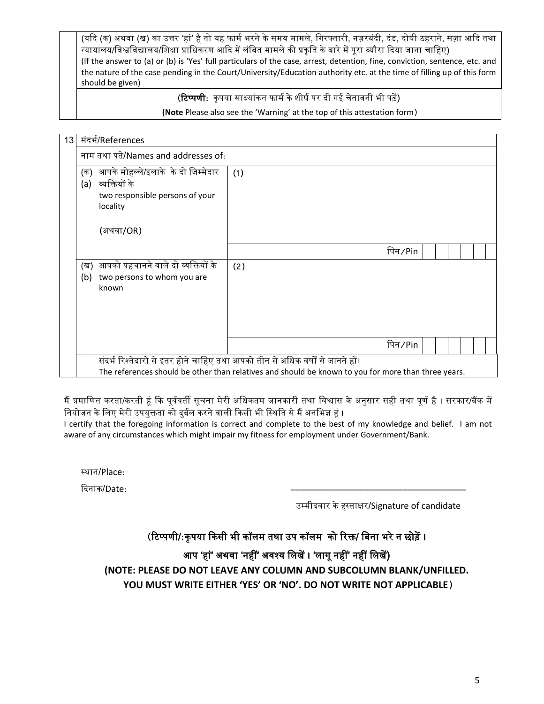(यदि (क) अथवा (ख) का उत्तर 'हां' है तो यह फार्म भरने के समय मामले, गिरफ्तारी, नज़रबंदी, दंड, दोषी ठहराने, सज़ा आदि तथा न्यायालय/विश्वविद्यालय/शिक्षा प्राधिकरण आदि में लंबित मामले की प्रकृति के बारे में पूरा ब्यौरा दिया जाना चाहिए) (If the answer to (a) or (b) is 'Yes' full particulars of the case, arrest, detention, fine, conviction, sentence, etc. and the nature of the case pending in the Court/University/Education authority etc. at the time of filling up of this form should be given)

(**टिप्पणी**: कृपया साक्ष्यांकन फार्म के शीर्ष पर दी गई चेतावनी भी पढ़ें)

**(Note** Please also see the 'Warning' at the top of this attestation form)

| 13 | संदर्भ/References                                                                                                                                                                     |                                                                                                     |     |             |  |  |  |  |  |  |
|----|---------------------------------------------------------------------------------------------------------------------------------------------------------------------------------------|-----------------------------------------------------------------------------------------------------|-----|-------------|--|--|--|--|--|--|
|    | नाम तथा पते/Names and addresses of:                                                                                                                                                   |                                                                                                     |     |             |  |  |  |  |  |  |
|    | (क)<br>(a)                                                                                                                                                                            | आपके मोहल्ले/इलाके  के दो जिम्मेदार<br>व्यक्तियों के<br>two responsible persons of your<br>locality | (1) |             |  |  |  |  |  |  |
|    |                                                                                                                                                                                       | (अथवा/OR)                                                                                           |     |             |  |  |  |  |  |  |
|    |                                                                                                                                                                                       |                                                                                                     |     | पिन ∕ Pin   |  |  |  |  |  |  |
|    | (ख)<br>(b)                                                                                                                                                                            | आपको पहचानने वाले दो व्यक्तियों के<br>two persons to whom you are<br>known                          | (2) |             |  |  |  |  |  |  |
|    |                                                                                                                                                                                       |                                                                                                     |     | पिन $/$ Pin |  |  |  |  |  |  |
|    | संदर्भ रिश्तेदारों से इतर होने चाहिए तथा आपको तीन से अधिक वर्षों से जानते हों।<br>The references should be other than relatives and should be known to you for more than three years. |                                                                                                     |     |             |  |  |  |  |  |  |

मैं प्रमाणित करता/करती हूं कि पूर्ववर्ती सूचना मेरी अधिकतम जानकारी तथा विश्वास के अनुसार सही तथा पूर्ण है । सरकार/बैंक में नियोजन के लिए मेरी उपयुक्तता को दुर्बल करने वाली किसी भी स्थिति से मैं अनभिज्ञ हं ।

I certify that the foregoing information is correct and complete to the best of my knowledge and belief. I am not aware of any circumstances which might impair my fitness for employment under Government/Bank.

स्थान/Place:

दिनांक/Date:

उम्मीदर्ार के हस्ताक्षर/Signature of candidate

\_\_\_\_\_\_\_\_\_\_\_\_\_\_\_\_\_\_\_\_\_\_\_\_\_\_\_\_\_\_\_\_\_\_\_\_

(टिप्पणी/:कृपया किसी भी कॉलम तथा उप कॉलम को रिक्त/ बिना भरे न छोड़ें ।

आप 'हां' अथवा 'नहीं' अवश्य लिखें । 'लागू नहीं' नहीं लिखें)

**(NOTE: PLEASE DO NOT LEAVE ANY COLUMN AND SUBCOLUMN BLANK/UNFILLED. YOU MUST WRITE EITHER 'YES' OR 'NO'. DO NOT WRITE NOT APPLICABLE)**